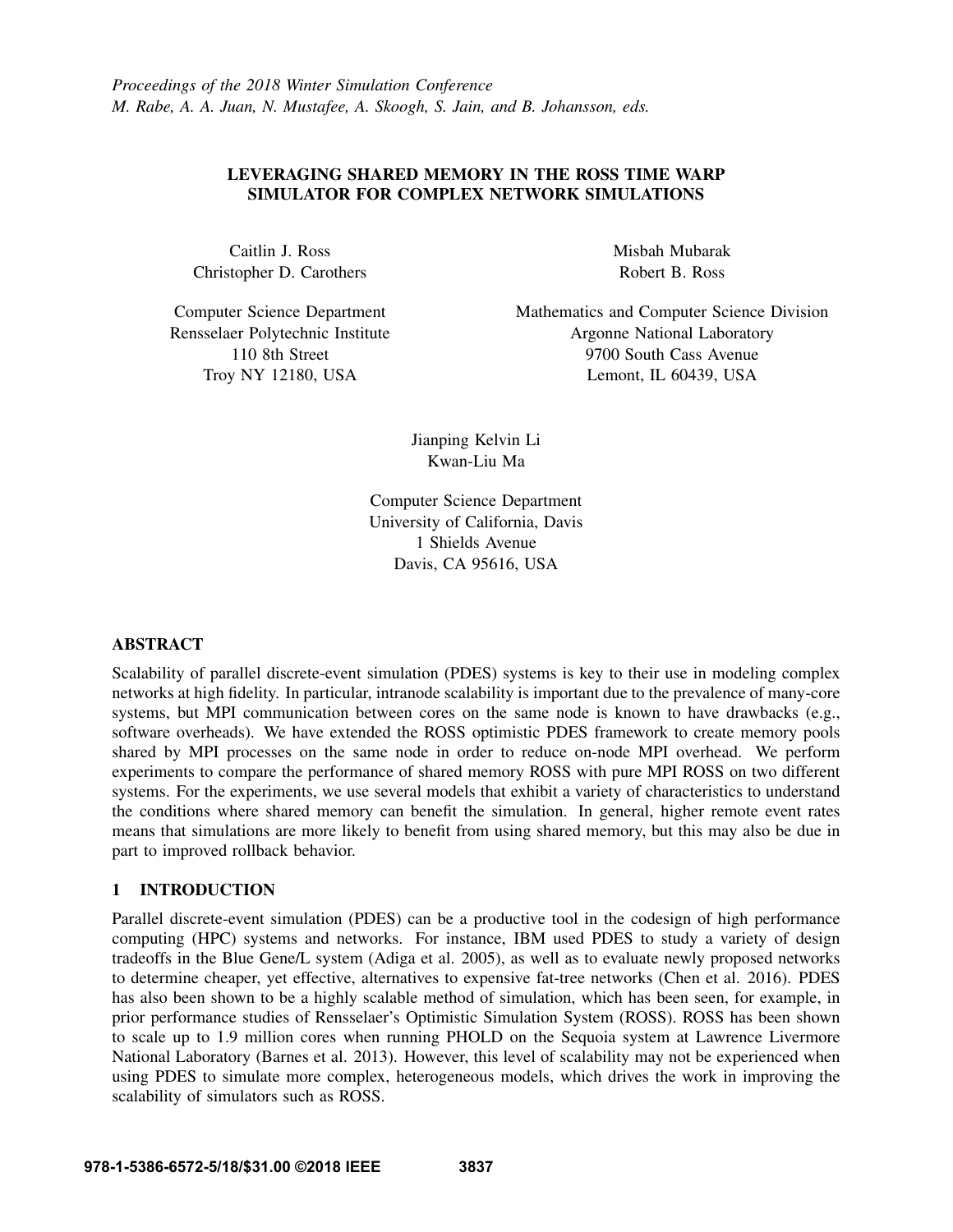## LEVERAGING SHARED MEMORY IN THE ROSS TIME WARP SIMULATOR FOR COMPLEX NETWORK SIMULATIONS

Caitlin J. Ross Christopher D. Carothers

Computer Science Department Rensselaer Polytechnic Institute 110 8th Street Troy NY 12180, USA

Misbah Mubarak Robert B. Ross

Mathematics and Computer Science Division Argonne National Laboratory 9700 South Cass Avenue Lemont, IL 60439, USA

Jianping Kelvin Li Kwan-Liu Ma

Computer Science Department University of California, Davis 1 Shields Avenue Davis, CA 95616, USA

### ABSTRACT

Scalability of parallel discrete-event simulation (PDES) systems is key to their use in modeling complex networks at high fidelity. In particular, intranode scalability is important due to the prevalence of many-core systems, but MPI communication between cores on the same node is known to have drawbacks (e.g., software overheads). We have extended the ROSS optimistic PDES framework to create memory pools shared by MPI processes on the same node in order to reduce on-node MPI overhead. We perform experiments to compare the performance of shared memory ROSS with pure MPI ROSS on two different systems. For the experiments, we use several models that exhibit a variety of characteristics to understand the conditions where shared memory can benefit the simulation. In general, higher remote event rates means that simulations are more likely to benefit from using shared memory, but this may also be due in part to improved rollback behavior.

## 1 INTRODUCTION

Parallel discrete-event simulation (PDES) can be a productive tool in the codesign of high performance computing (HPC) systems and networks. For instance, IBM used PDES to study a variety of design tradeoffs in the Blue Gene/L system (Adiga et al. 2005), as well as to evaluate newly proposed networks to determine cheaper, yet effective, alternatives to expensive fat-tree networks (Chen et al. 2016). PDES has also been shown to be a highly scalable method of simulation, which has been seen, for example, in prior performance studies of Rensselaer's Optimistic Simulation System (ROSS). ROSS has been shown to scale up to 1.9 million cores when running PHOLD on the Sequoia system at Lawrence Livermore National Laboratory (Barnes et al. 2013). However, this level of scalability may not be experienced when using PDES to simulate more complex, heterogeneous models, which drives the work in improving the scalability of simulators such as ROSS.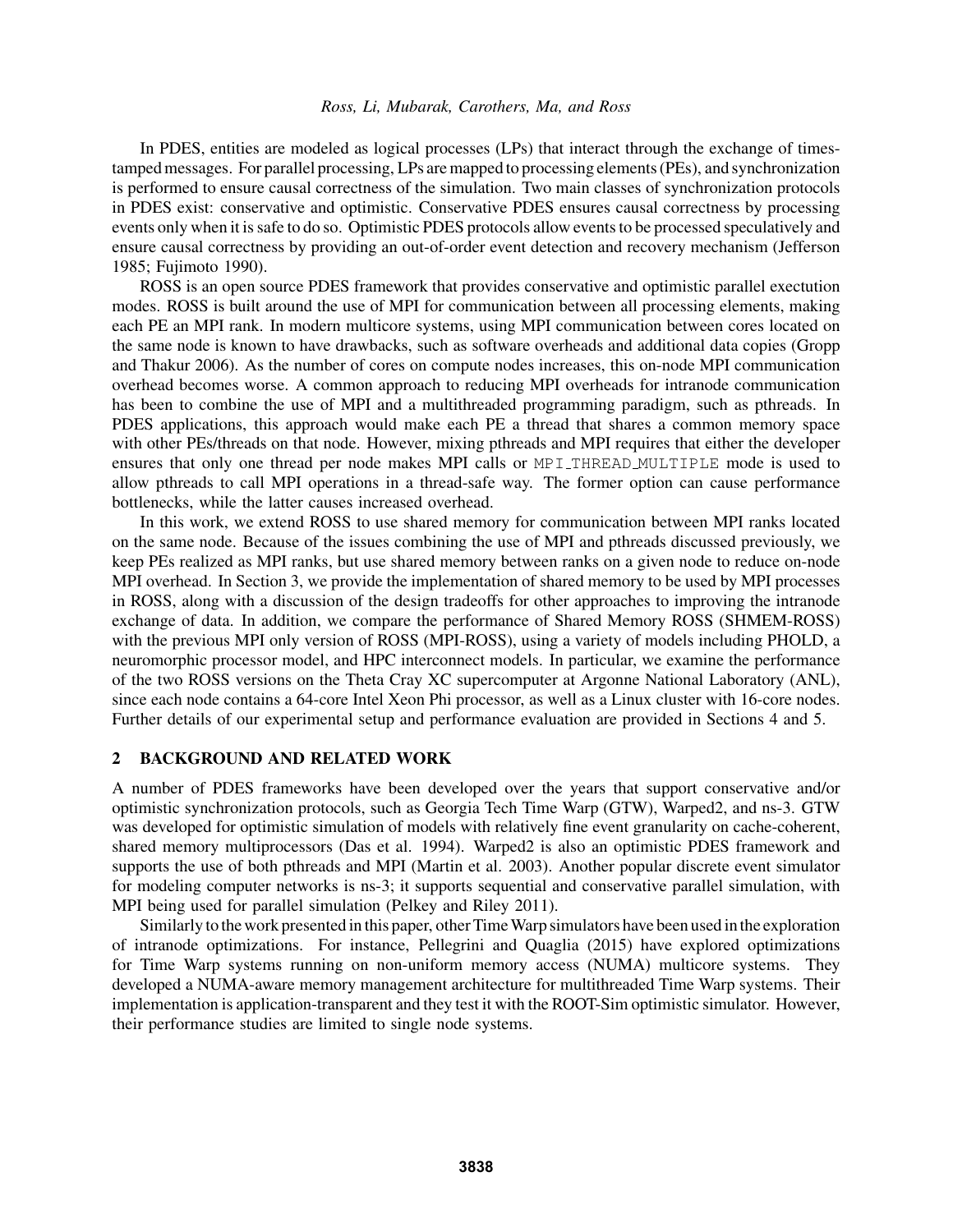In PDES, entities are modeled as logical processes (LPs) that interact through the exchange of timestamped messages. For parallel processing, LPs are mapped to processing elements (PEs), and synchronization is performed to ensure causal correctness of the simulation. Two main classes of synchronization protocols in PDES exist: conservative and optimistic. Conservative PDES ensures causal correctness by processing events only when it is safe to do so. Optimistic PDES protocols allow events to be processed speculatively and ensure causal correctness by providing an out-of-order event detection and recovery mechanism (Jefferson 1985; Fujimoto 1990).

ROSS is an open source PDES framework that provides conservative and optimistic parallel exectution modes. ROSS is built around the use of MPI for communication between all processing elements, making each PE an MPI rank. In modern multicore systems, using MPI communication between cores located on the same node is known to have drawbacks, such as software overheads and additional data copies (Gropp and Thakur 2006). As the number of cores on compute nodes increases, this on-node MPI communication overhead becomes worse. A common approach to reducing MPI overheads for intranode communication has been to combine the use of MPI and a multithreaded programming paradigm, such as pthreads. In PDES applications, this approach would make each PE a thread that shares a common memory space with other PEs/threads on that node. However, mixing pthreads and MPI requires that either the developer ensures that only one thread per node makes MPI calls or MPI\_THREAD\_MULTIPLE mode is used to allow pthreads to call MPI operations in a thread-safe way. The former option can cause performance bottlenecks, while the latter causes increased overhead.

In this work, we extend ROSS to use shared memory for communication between MPI ranks located on the same node. Because of the issues combining the use of MPI and pthreads discussed previously, we keep PEs realized as MPI ranks, but use shared memory between ranks on a given node to reduce on-node MPI overhead. In Section 3, we provide the implementation of shared memory to be used by MPI processes in ROSS, along with a discussion of the design tradeoffs for other approaches to improving the intranode exchange of data. In addition, we compare the performance of Shared Memory ROSS (SHMEM-ROSS) with the previous MPI only version of ROSS (MPI-ROSS), using a variety of models including PHOLD, a neuromorphic processor model, and HPC interconnect models. In particular, we examine the performance of the two ROSS versions on the Theta Cray XC supercomputer at Argonne National Laboratory (ANL), since each node contains a 64-core Intel Xeon Phi processor, as well as a Linux cluster with 16-core nodes. Further details of our experimental setup and performance evaluation are provided in Sections 4 and 5.

#### 2 BACKGROUND AND RELATED WORK

A number of PDES frameworks have been developed over the years that support conservative and/or optimistic synchronization protocols, such as Georgia Tech Time Warp (GTW), Warped2, and ns-3. GTW was developed for optimistic simulation of models with relatively fine event granularity on cache-coherent, shared memory multiprocessors (Das et al. 1994). Warped2 is also an optimistic PDES framework and supports the use of both pthreads and MPI (Martin et al. 2003). Another popular discrete event simulator for modeling computer networks is ns-3; it supports sequential and conservative parallel simulation, with MPI being used for parallel simulation (Pelkey and Riley 2011).

Similarly to the work presented in this paper, other TimeWarp simulators have been used in the exploration of intranode optimizations. For instance, Pellegrini and Quaglia (2015) have explored optimizations for Time Warp systems running on non-uniform memory access (NUMA) multicore systems. They developed a NUMA-aware memory management architecture for multithreaded Time Warp systems. Their implementation is application-transparent and they test it with the ROOT-Sim optimistic simulator. However, their performance studies are limited to single node systems.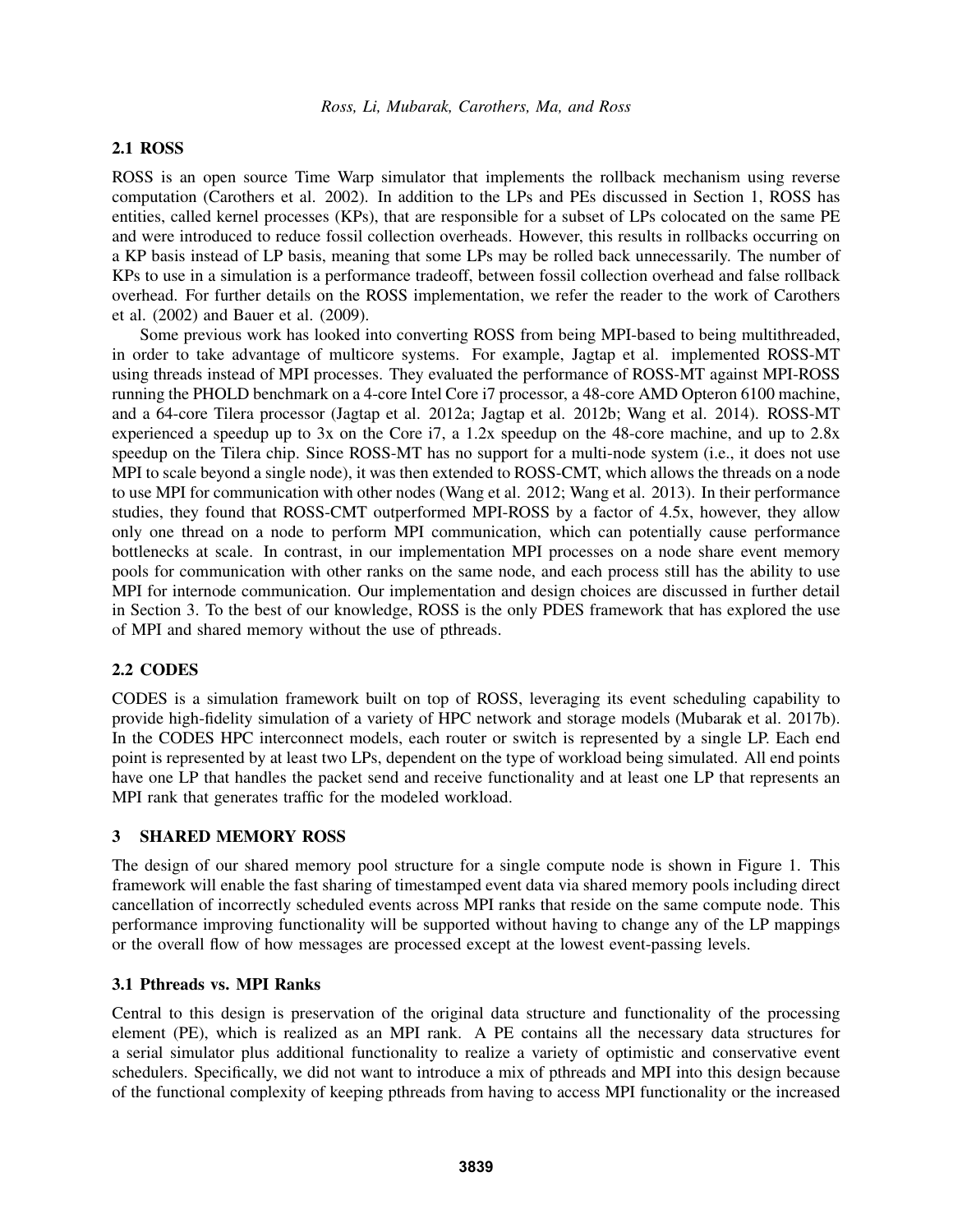### 2.1 ROSS

ROSS is an open source Time Warp simulator that implements the rollback mechanism using reverse computation (Carothers et al. 2002). In addition to the LPs and PEs discussed in Section 1, ROSS has entities, called kernel processes (KPs), that are responsible for a subset of LPs colocated on the same PE and were introduced to reduce fossil collection overheads. However, this results in rollbacks occurring on a KP basis instead of LP basis, meaning that some LPs may be rolled back unnecessarily. The number of KPs to use in a simulation is a performance tradeoff, between fossil collection overhead and false rollback overhead. For further details on the ROSS implementation, we refer the reader to the work of Carothers et al. (2002) and Bauer et al. (2009).

Some previous work has looked into converting ROSS from being MPI-based to being multithreaded, in order to take advantage of multicore systems. For example, Jagtap et al. implemented ROSS-MT using threads instead of MPI processes. They evaluated the performance of ROSS-MT against MPI-ROSS running the PHOLD benchmark on a 4-core Intel Core i7 processor, a 48-core AMD Opteron 6100 machine, and a 64-core Tilera processor (Jagtap et al. 2012a; Jagtap et al. 2012b; Wang et al. 2014). ROSS-MT experienced a speedup up to 3x on the Core i7, a 1.2x speedup on the 48-core machine, and up to 2.8x speedup on the Tilera chip. Since ROSS-MT has no support for a multi-node system (i.e., it does not use MPI to scale beyond a single node), it was then extended to ROSS-CMT, which allows the threads on a node to use MPI for communication with other nodes (Wang et al. 2012; Wang et al. 2013). In their performance studies, they found that ROSS-CMT outperformed MPI-ROSS by a factor of 4.5x, however, they allow only one thread on a node to perform MPI communication, which can potentially cause performance bottlenecks at scale. In contrast, in our implementation MPI processes on a node share event memory pools for communication with other ranks on the same node, and each process still has the ability to use MPI for internode communication. Our implementation and design choices are discussed in further detail in Section 3. To the best of our knowledge, ROSS is the only PDES framework that has explored the use of MPI and shared memory without the use of pthreads.

### 2.2 CODES

CODES is a simulation framework built on top of ROSS, leveraging its event scheduling capability to provide high-fidelity simulation of a variety of HPC network and storage models (Mubarak et al. 2017b). In the CODES HPC interconnect models, each router or switch is represented by a single LP. Each end point is represented by at least two LPs, dependent on the type of workload being simulated. All end points have one LP that handles the packet send and receive functionality and at least one LP that represents an MPI rank that generates traffic for the modeled workload.

### 3 SHARED MEMORY ROSS

The design of our shared memory pool structure for a single compute node is shown in Figure 1. This framework will enable the fast sharing of timestamped event data via shared memory pools including direct cancellation of incorrectly scheduled events across MPI ranks that reside on the same compute node. This performance improving functionality will be supported without having to change any of the LP mappings or the overall flow of how messages are processed except at the lowest event-passing levels.

## 3.1 Pthreads vs. MPI Ranks

Central to this design is preservation of the original data structure and functionality of the processing element (PE), which is realized as an MPI rank. A PE contains all the necessary data structures for a serial simulator plus additional functionality to realize a variety of optimistic and conservative event schedulers. Specifically, we did not want to introduce a mix of pthreads and MPI into this design because of the functional complexity of keeping pthreads from having to access MPI functionality or the increased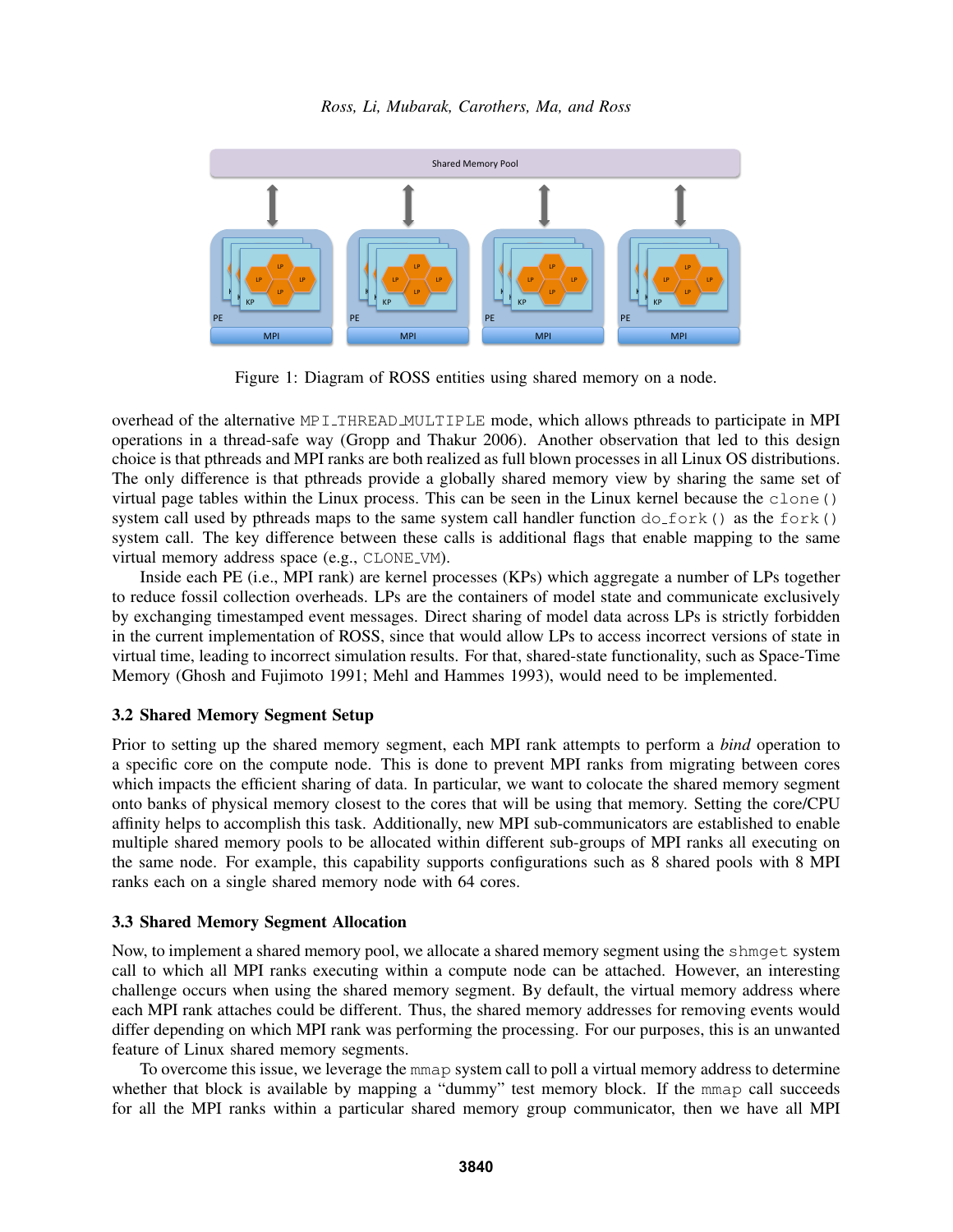

Figure 1: Diagram of ROSS entities using shared memory on a node.

overhead of the alternative MPI\_THREAD\_MULTIPLE mode, which allows pthreads to participate in MPI operations in a thread-safe way (Gropp and Thakur 2006). Another observation that led to this design choice is that pthreads and MPI ranks are both realized as full blown processes in all Linux OS distributions. The only difference is that pthreads provide a globally shared memory view by sharing the same set of virtual page tables within the Linux process. This can be seen in the Linux kernel because the clone() system call used by pthreads maps to the same system call handler function  $dofort ()$  as the fork() system call. The key difference between these calls is additional flags that enable mapping to the same virtual memory address space (e.g., CLONE VM).

Inside each PE (i.e., MPI rank) are kernel processes (KPs) which aggregate a number of LPs together to reduce fossil collection overheads. LPs are the containers of model state and communicate exclusively by exchanging timestamped event messages. Direct sharing of model data across LPs is strictly forbidden in the current implementation of ROSS, since that would allow LPs to access incorrect versions of state in virtual time, leading to incorrect simulation results. For that, shared-state functionality, such as Space-Time Memory (Ghosh and Fujimoto 1991; Mehl and Hammes 1993), would need to be implemented.

## 3.2 Shared Memory Segment Setup

Prior to setting up the shared memory segment, each MPI rank attempts to perform a *bind* operation to a specific core on the compute node. This is done to prevent MPI ranks from migrating between cores which impacts the efficient sharing of data. In particular, we want to colocate the shared memory segment onto banks of physical memory closest to the cores that will be using that memory. Setting the core/CPU affinity helps to accomplish this task. Additionally, new MPI sub-communicators are established to enable multiple shared memory pools to be allocated within different sub-groups of MPI ranks all executing on the same node. For example, this capability supports configurations such as 8 shared pools with 8 MPI ranks each on a single shared memory node with 64 cores.

### 3.3 Shared Memory Segment Allocation

Now, to implement a shared memory pool, we allocate a shared memory segment using the shmget system call to which all MPI ranks executing within a compute node can be attached. However, an interesting challenge occurs when using the shared memory segment. By default, the virtual memory address where each MPI rank attaches could be different. Thus, the shared memory addresses for removing events would differ depending on which MPI rank was performing the processing. For our purposes, this is an unwanted feature of Linux shared memory segments.

To overcome this issue, we leverage the mmap system call to poll a virtual memory address to determine whether that block is available by mapping a "dummy" test memory block. If the mmap call succeeds for all the MPI ranks within a particular shared memory group communicator, then we have all MPI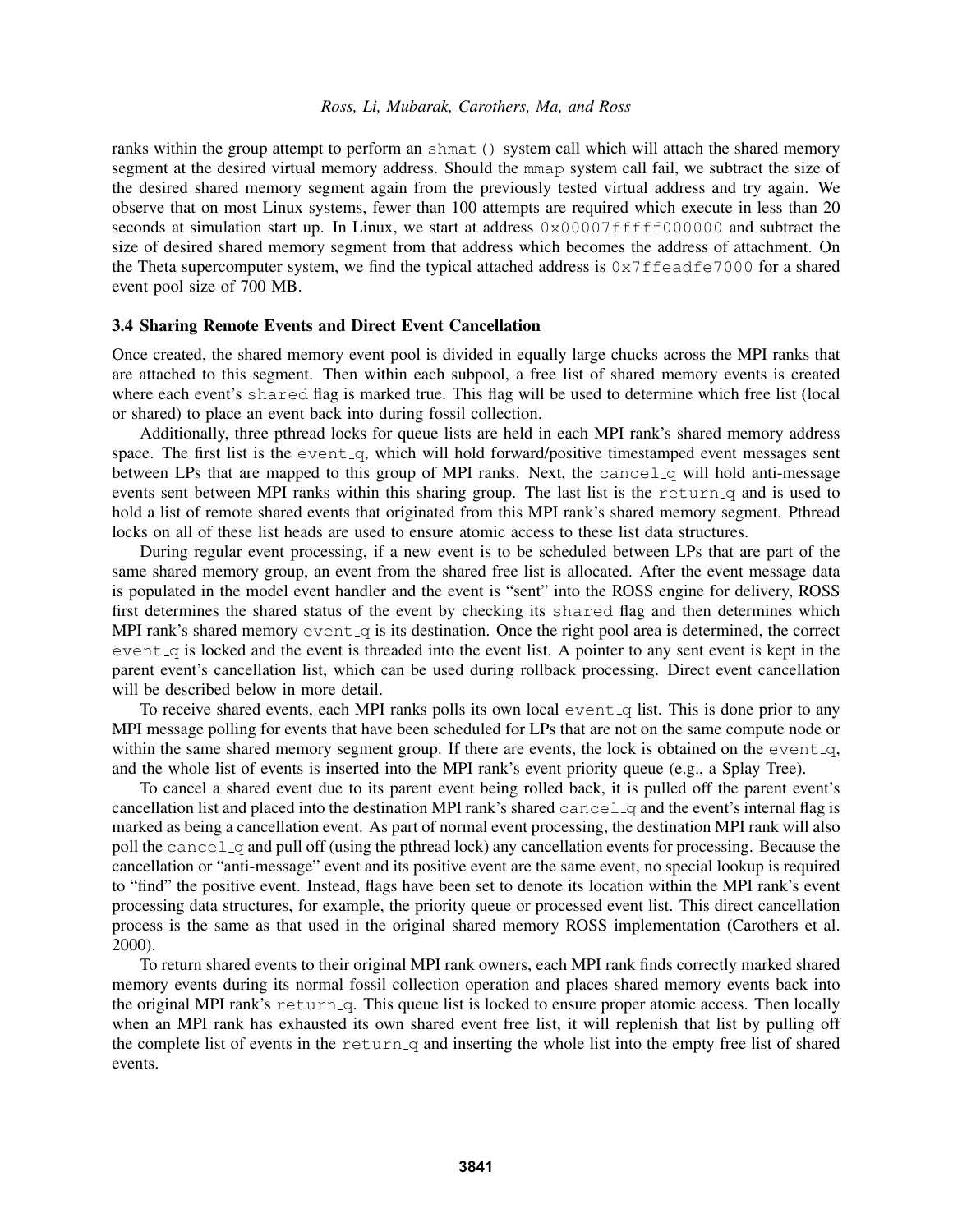ranks within the group attempt to perform an shmat () system call which will attach the shared memory segment at the desired virtual memory address. Should the mmap system call fail, we subtract the size of the desired shared memory segment again from the previously tested virtual address and try again. We observe that on most Linux systems, fewer than 100 attempts are required which execute in less than 20 seconds at simulation start up. In Linux, we start at address  $0 \times 00007$  f  $f$ fff $f000000$  and subtract the size of desired shared memory segment from that address which becomes the address of attachment. On the Theta supercomputer system, we find the typical attached address is  $0 \times 7$  ffeadfe7000 for a shared event pool size of 700 MB.

### 3.4 Sharing Remote Events and Direct Event Cancellation

Once created, the shared memory event pool is divided in equally large chucks across the MPI ranks that are attached to this segment. Then within each subpool, a free list of shared memory events is created where each event's shared flag is marked true. This flag will be used to determine which free list (local or shared) to place an event back into during fossil collection.

Additionally, three pthread locks for queue lists are held in each MPI rank's shared memory address space. The first list is the event<sub>-q</sub>, which will hold forward/positive timestamped event messages sent between LPs that are mapped to this group of MPI ranks. Next, the cancel  $\alpha$  will hold anti-message events sent between MPI ranks within this sharing group. The last list is the return q and is used to hold a list of remote shared events that originated from this MPI rank's shared memory segment. Pthread locks on all of these list heads are used to ensure atomic access to these list data structures.

During regular event processing, if a new event is to be scheduled between LPs that are part of the same shared memory group, an event from the shared free list is allocated. After the event message data is populated in the model event handler and the event is "sent" into the ROSS engine for delivery, ROSS first determines the shared status of the event by checking its shared flag and then determines which MPI rank's shared memory  $event_q$  is its destination. Once the right pool area is determined, the correct event q is locked and the event is threaded into the event list. A pointer to any sent event is kept in the parent event's cancellation list, which can be used during rollback processing. Direct event cancellation will be described below in more detail.

To receive shared events, each MPI ranks polls its own local event  $q$  list. This is done prior to any MPI message polling for events that have been scheduled for LPs that are not on the same compute node or within the same shared memory segment group. If there are events, the lock is obtained on the event  $-q$ , and the whole list of events is inserted into the MPI rank's event priority queue (e.g., a Splay Tree).

To cancel a shared event due to its parent event being rolled back, it is pulled off the parent event's cancellation list and placed into the destination MPI rank's shared  $cancel_q$  and the event's internal flag is marked as being a cancellation event. As part of normal event processing, the destination MPI rank will also poll the cancel q and pull off (using the pthread lock) any cancellation events for processing. Because the cancellation or "anti-message" event and its positive event are the same event, no special lookup is required to "find" the positive event. Instead, flags have been set to denote its location within the MPI rank's event processing data structures, for example, the priority queue or processed event list. This direct cancellation process is the same as that used in the original shared memory ROSS implementation (Carothers et al. 2000).

To return shared events to their original MPI rank owners, each MPI rank finds correctly marked shared memory events during its normal fossil collection operation and places shared memory events back into the original MPI rank's return q. This queue list is locked to ensure proper atomic access. Then locally when an MPI rank has exhausted its own shared event free list, it will replenish that list by pulling off the complete list of events in the return q and inserting the whole list into the empty free list of shared events.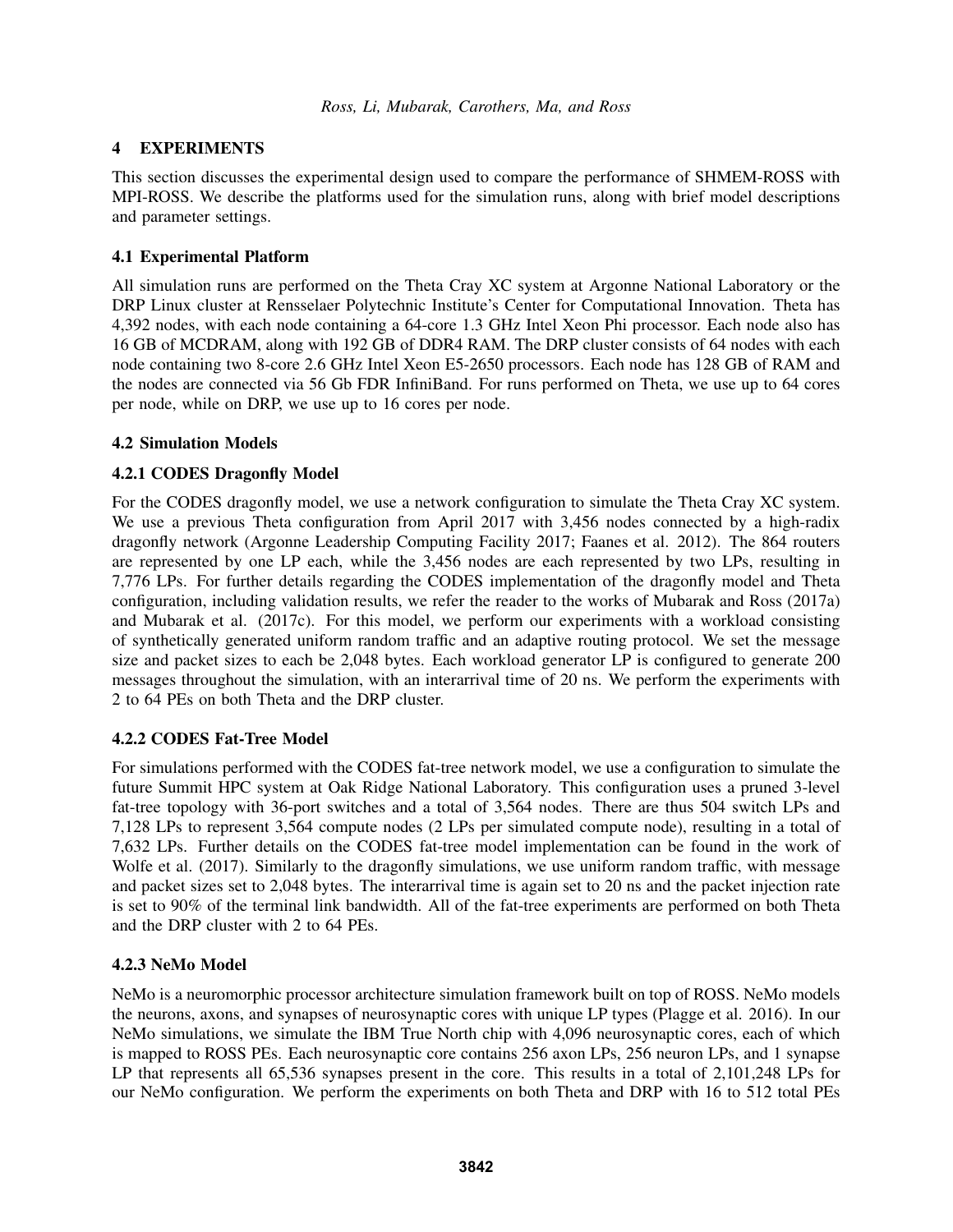# 4 EXPERIMENTS

This section discusses the experimental design used to compare the performance of SHMEM-ROSS with MPI-ROSS. We describe the platforms used for the simulation runs, along with brief model descriptions and parameter settings.

# 4.1 Experimental Platform

All simulation runs are performed on the Theta Cray XC system at Argonne National Laboratory or the DRP Linux cluster at Rensselaer Polytechnic Institute's Center for Computational Innovation. Theta has 4,392 nodes, with each node containing a 64-core 1.3 GHz Intel Xeon Phi processor. Each node also has 16 GB of MCDRAM, along with 192 GB of DDR4 RAM. The DRP cluster consists of 64 nodes with each node containing two 8-core 2.6 GHz Intel Xeon E5-2650 processors. Each node has 128 GB of RAM and the nodes are connected via 56 Gb FDR InfiniBand. For runs performed on Theta, we use up to 64 cores per node, while on DRP, we use up to 16 cores per node.

## 4.2 Simulation Models

# 4.2.1 CODES Dragonfly Model

For the CODES dragonfly model, we use a network configuration to simulate the Theta Cray XC system. We use a previous Theta configuration from April 2017 with 3,456 nodes connected by a high-radix dragonfly network (Argonne Leadership Computing Facility 2017; Faanes et al. 2012). The 864 routers are represented by one LP each, while the 3,456 nodes are each represented by two LPs, resulting in 7,776 LPs. For further details regarding the CODES implementation of the dragonfly model and Theta configuration, including validation results, we refer the reader to the works of Mubarak and Ross (2017a) and Mubarak et al. (2017c). For this model, we perform our experiments with a workload consisting of synthetically generated uniform random traffic and an adaptive routing protocol. We set the message size and packet sizes to each be 2,048 bytes. Each workload generator LP is configured to generate 200 messages throughout the simulation, with an interarrival time of 20 ns. We perform the experiments with 2 to 64 PEs on both Theta and the DRP cluster.

## 4.2.2 CODES Fat-Tree Model

For simulations performed with the CODES fat-tree network model, we use a configuration to simulate the future Summit HPC system at Oak Ridge National Laboratory. This configuration uses a pruned 3-level fat-tree topology with 36-port switches and a total of 3,564 nodes. There are thus 504 switch LPs and 7,128 LPs to represent 3,564 compute nodes (2 LPs per simulated compute node), resulting in a total of 7,632 LPs. Further details on the CODES fat-tree model implementation can be found in the work of Wolfe et al. (2017). Similarly to the dragonfly simulations, we use uniform random traffic, with message and packet sizes set to 2,048 bytes. The interarrival time is again set to 20 ns and the packet injection rate is set to 90% of the terminal link bandwidth. All of the fat-tree experiments are performed on both Theta and the DRP cluster with 2 to 64 PEs.

## 4.2.3 NeMo Model

NeMo is a neuromorphic processor architecture simulation framework built on top of ROSS. NeMo models the neurons, axons, and synapses of neurosynaptic cores with unique LP types (Plagge et al. 2016). In our NeMo simulations, we simulate the IBM True North chip with 4,096 neurosynaptic cores, each of which is mapped to ROSS PEs. Each neurosynaptic core contains 256 axon LPs, 256 neuron LPs, and 1 synapse LP that represents all 65,536 synapses present in the core. This results in a total of 2,101,248 LPs for our NeMo configuration. We perform the experiments on both Theta and DRP with 16 to 512 total PEs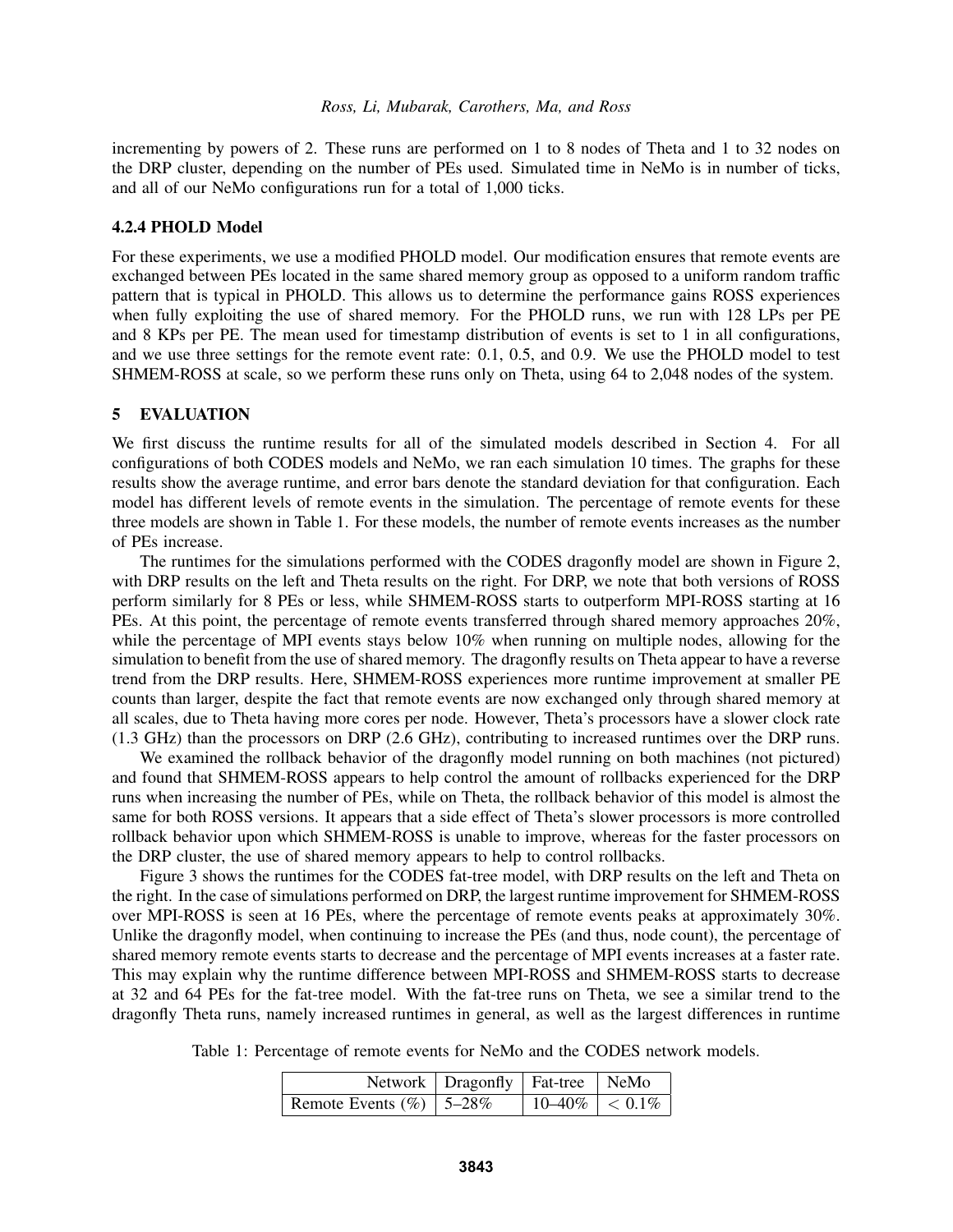incrementing by powers of 2. These runs are performed on 1 to 8 nodes of Theta and 1 to 32 nodes on the DRP cluster, depending on the number of PEs used. Simulated time in NeMo is in number of ticks, and all of our NeMo configurations run for a total of 1,000 ticks.

### 4.2.4 PHOLD Model

For these experiments, we use a modified PHOLD model. Our modification ensures that remote events are exchanged between PEs located in the same shared memory group as opposed to a uniform random traffic pattern that is typical in PHOLD. This allows us to determine the performance gains ROSS experiences when fully exploiting the use of shared memory. For the PHOLD runs, we run with 128 LPs per PE and 8 KPs per PE. The mean used for timestamp distribution of events is set to 1 in all configurations, and we use three settings for the remote event rate: 0.1, 0.5, and 0.9. We use the PHOLD model to test SHMEM-ROSS at scale, so we perform these runs only on Theta, using 64 to 2,048 nodes of the system.

## 5 EVALUATION

We first discuss the runtime results for all of the simulated models described in Section 4. For all configurations of both CODES models and NeMo, we ran each simulation 10 times. The graphs for these results show the average runtime, and error bars denote the standard deviation for that configuration. Each model has different levels of remote events in the simulation. The percentage of remote events for these three models are shown in Table 1. For these models, the number of remote events increases as the number of PEs increase.

The runtimes for the simulations performed with the CODES dragonfly model are shown in Figure 2, with DRP results on the left and Theta results on the right. For DRP, we note that both versions of ROSS perform similarly for 8 PEs or less, while SHMEM-ROSS starts to outperform MPI-ROSS starting at 16 PEs. At this point, the percentage of remote events transferred through shared memory approaches 20%, while the percentage of MPI events stays below 10% when running on multiple nodes, allowing for the simulation to benefit from the use of shared memory. The dragonfly results on Theta appear to have a reverse trend from the DRP results. Here, SHMEM-ROSS experiences more runtime improvement at smaller PE counts than larger, despite the fact that remote events are now exchanged only through shared memory at all scales, due to Theta having more cores per node. However, Theta's processors have a slower clock rate (1.3 GHz) than the processors on DRP (2.6 GHz), contributing to increased runtimes over the DRP runs.

We examined the rollback behavior of the dragonfly model running on both machines (not pictured) and found that SHMEM-ROSS appears to help control the amount of rollbacks experienced for the DRP runs when increasing the number of PEs, while on Theta, the rollback behavior of this model is almost the same for both ROSS versions. It appears that a side effect of Theta's slower processors is more controlled rollback behavior upon which SHMEM-ROSS is unable to improve, whereas for the faster processors on the DRP cluster, the use of shared memory appears to help to control rollbacks.

Figure 3 shows the runtimes for the CODES fat-tree model, with DRP results on the left and Theta on the right. In the case of simulations performed on DRP, the largest runtime improvement for SHMEM-ROSS over MPI-ROSS is seen at 16 PEs, where the percentage of remote events peaks at approximately 30%. Unlike the dragonfly model, when continuing to increase the PEs (and thus, node count), the percentage of shared memory remote events starts to decrease and the percentage of MPI events increases at a faster rate. This may explain why the runtime difference between MPI-ROSS and SHMEM-ROSS starts to decrease at 32 and 64 PEs for the fat-tree model. With the fat-tree runs on Theta, we see a similar trend to the dragonfly Theta runs, namely increased runtimes in general, as well as the largest differences in runtime

Table 1: Percentage of remote events for NeMo and the CODES network models.

|                              | Network   Dragonfly   Fat-tree   NeMo |                                       |  |
|------------------------------|---------------------------------------|---------------------------------------|--|
| Remote Events $(\%)$   5–28% |                                       | $\vert 10 - 40\% \vert < 0.1\% \vert$ |  |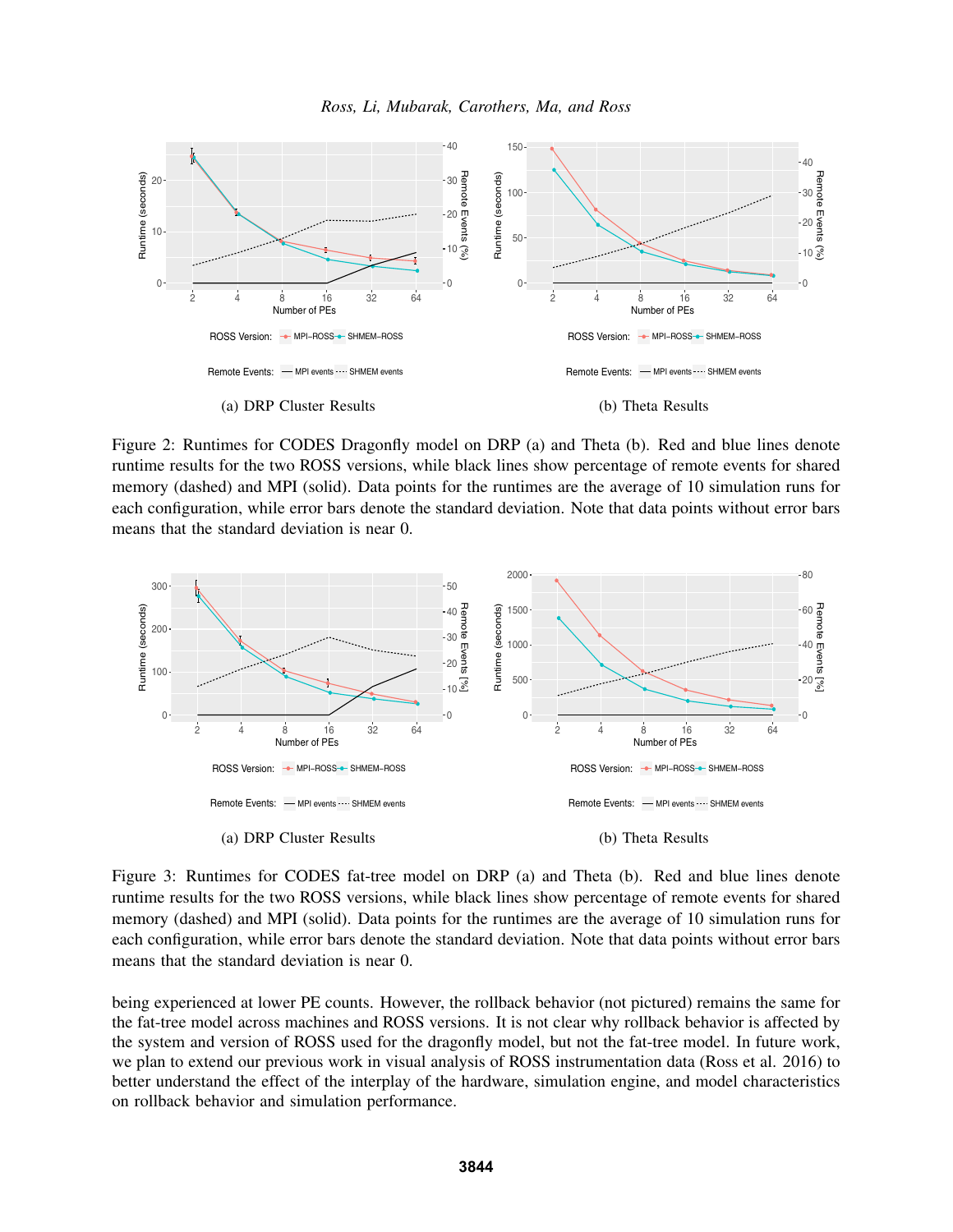



Figure 2: Runtimes for CODES Dragonfly model on DRP (a) and Theta (b). Red and blue lines denote runtime results for the two ROSS versions, while black lines show percentage of remote events for shared memory (dashed) and MPI (solid). Data points for the runtimes are the average of 10 simulation runs for each configuration, while error bars denote the standard deviation. Note that data points without error bars means that the standard deviation is near 0.



Figure 3: Runtimes for CODES fat-tree model on DRP (a) and Theta (b). Red and blue lines denote runtime results for the two ROSS versions, while black lines show percentage of remote events for shared memory (dashed) and MPI (solid). Data points for the runtimes are the average of 10 simulation runs for each configuration, while error bars denote the standard deviation. Note that data points without error bars means that the standard deviation is near 0.

being experienced at lower PE counts. However, the rollback behavior (not pictured) remains the same for the fat-tree model across machines and ROSS versions. It is not clear why rollback behavior is affected by the system and version of ROSS used for the dragonfly model, but not the fat-tree model. In future work, we plan to extend our previous work in visual analysis of ROSS instrumentation data (Ross et al. 2016) to better understand the effect of the interplay of the hardware, simulation engine, and model characteristics on rollback behavior and simulation performance.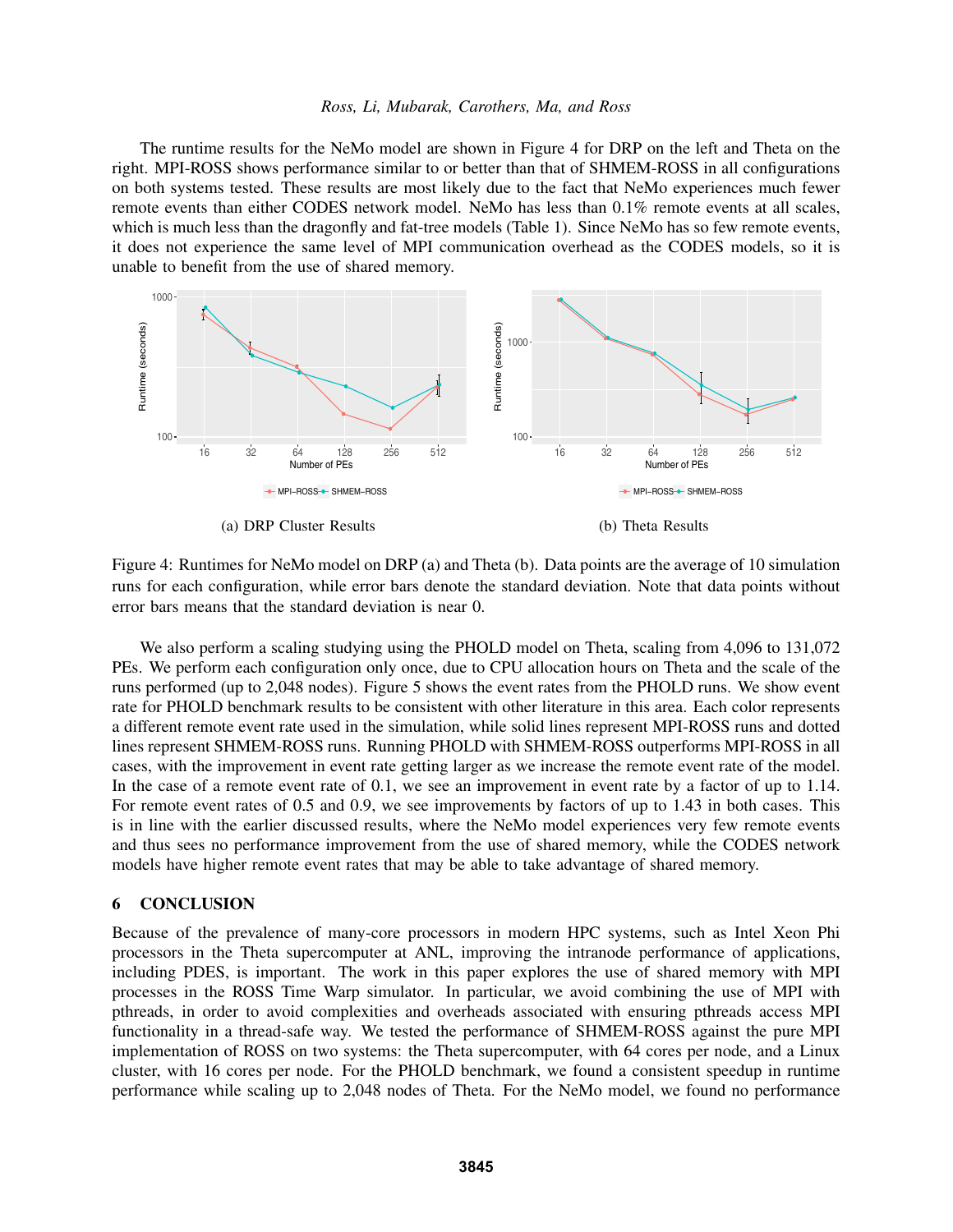The runtime results for the NeMo model are shown in Figure 4 for DRP on the left and Theta on the right. MPI-ROSS shows performance similar to or better than that of SHMEM-ROSS in all configurations on both systems tested. These results are most likely due to the fact that NeMo experiences much fewer remote events than either CODES network model. NeMo has less than 0.1% remote events at all scales, which is much less than the dragonfly and fat-tree models (Table 1). Since NeMo has so few remote events, it does not experience the same level of MPI communication overhead as the CODES models, so it is unable to benefit from the use of shared memory.



Figure 4: Runtimes for NeMo model on DRP (a) and Theta (b). Data points are the average of 10 simulation runs for each configuration, while error bars denote the standard deviation. Note that data points without error bars means that the standard deviation is near 0.

We also perform a scaling studying using the PHOLD model on Theta, scaling from 4,096 to 131,072 PEs. We perform each configuration only once, due to CPU allocation hours on Theta and the scale of the runs performed (up to 2,048 nodes). Figure 5 shows the event rates from the PHOLD runs. We show event rate for PHOLD benchmark results to be consistent with other literature in this area. Each color represents a different remote event rate used in the simulation, while solid lines represent MPI-ROSS runs and dotted lines represent SHMEM-ROSS runs. Running PHOLD with SHMEM-ROSS outperforms MPI-ROSS in all cases, with the improvement in event rate getting larger as we increase the remote event rate of the model. In the case of a remote event rate of 0.1, we see an improvement in event rate by a factor of up to 1.14. For remote event rates of 0.5 and 0.9, we see improvements by factors of up to 1.43 in both cases. This is in line with the earlier discussed results, where the NeMo model experiences very few remote events and thus sees no performance improvement from the use of shared memory, while the CODES network models have higher remote event rates that may be able to take advantage of shared memory.

#### 6 CONCLUSION

Because of the prevalence of many-core processors in modern HPC systems, such as Intel Xeon Phi processors in the Theta supercomputer at ANL, improving the intranode performance of applications, including PDES, is important. The work in this paper explores the use of shared memory with MPI processes in the ROSS Time Warp simulator. In particular, we avoid combining the use of MPI with pthreads, in order to avoid complexities and overheads associated with ensuring pthreads access MPI functionality in a thread-safe way. We tested the performance of SHMEM-ROSS against the pure MPI implementation of ROSS on two systems: the Theta supercomputer, with 64 cores per node, and a Linux cluster, with 16 cores per node. For the PHOLD benchmark, we found a consistent speedup in runtime performance while scaling up to 2,048 nodes of Theta. For the NeMo model, we found no performance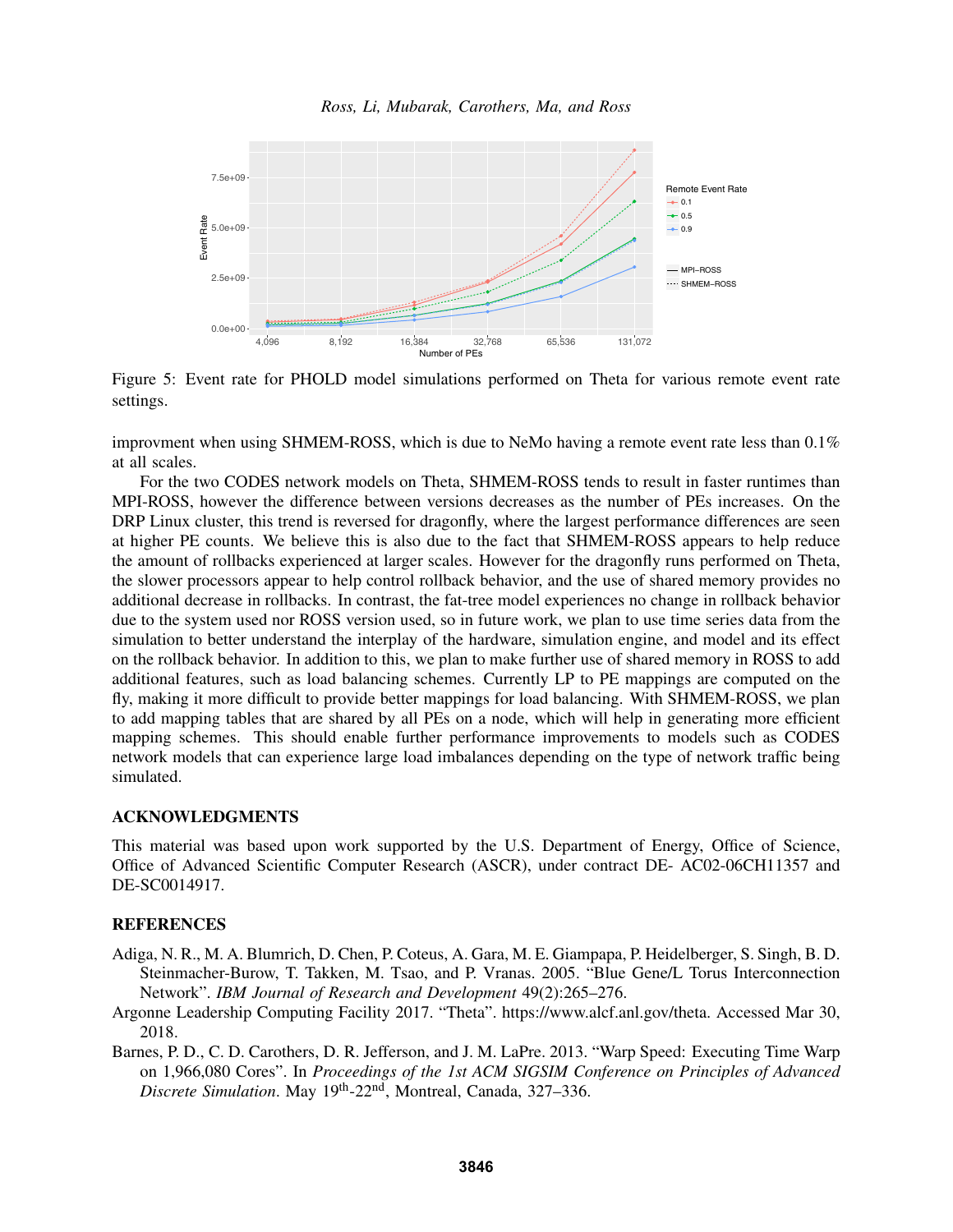

Figure 5: Event rate for PHOLD model simulations performed on Theta for various remote event rate settings.

improvment when using SHMEM-ROSS, which is due to NeMo having a remote event rate less than  $0.1\%$ at all scales.

For the two CODES network models on Theta, SHMEM-ROSS tends to result in faster runtimes than MPI-ROSS, however the difference between versions decreases as the number of PEs increases. On the DRP Linux cluster, this trend is reversed for dragonfly, where the largest performance differences are seen at higher PE counts. We believe this is also due to the fact that SHMEM-ROSS appears to help reduce the amount of rollbacks experienced at larger scales. However for the dragonfly runs performed on Theta, the slower processors appear to help control rollback behavior, and the use of shared memory provides no additional decrease in rollbacks. In contrast, the fat-tree model experiences no change in rollback behavior due to the system used nor ROSS version used, so in future work, we plan to use time series data from the simulation to better understand the interplay of the hardware, simulation engine, and model and its effect on the rollback behavior. In addition to this, we plan to make further use of shared memory in ROSS to add additional features, such as load balancing schemes. Currently LP to PE mappings are computed on the fly, making it more difficult to provide better mappings for load balancing. With SHMEM-ROSS, we plan to add mapping tables that are shared by all PEs on a node, which will help in generating more efficient mapping schemes. This should enable further performance improvements to models such as CODES network models that can experience large load imbalances depending on the type of network traffic being simulated.

### ACKNOWLEDGMENTS

This material was based upon work supported by the U.S. Department of Energy, Office of Science, Office of Advanced Scientific Computer Research (ASCR), under contract DE- AC02-06CH11357 and DE-SC0014917.

#### **REFERENCES**

- Adiga, N. R., M. A. Blumrich, D. Chen, P. Coteus, A. Gara, M. E. Giampapa, P. Heidelberger, S. Singh, B. D. Steinmacher-Burow, T. Takken, M. Tsao, and P. Vranas. 2005. "Blue Gene/L Torus Interconnection Network". *IBM Journal of Research and Development* 49(2):265–276.
- Argonne Leadership Computing Facility 2017. "Theta". https://www.alcf.anl.gov/theta. Accessed Mar 30, 2018.
- Barnes, P. D., C. D. Carothers, D. R. Jefferson, and J. M. LaPre. 2013. "Warp Speed: Executing Time Warp on 1,966,080 Cores". In *Proceedings of the 1st ACM SIGSIM Conference on Principles of Advanced Discrete Simulation*. May 19th-22nd, Montreal, Canada, 327–336.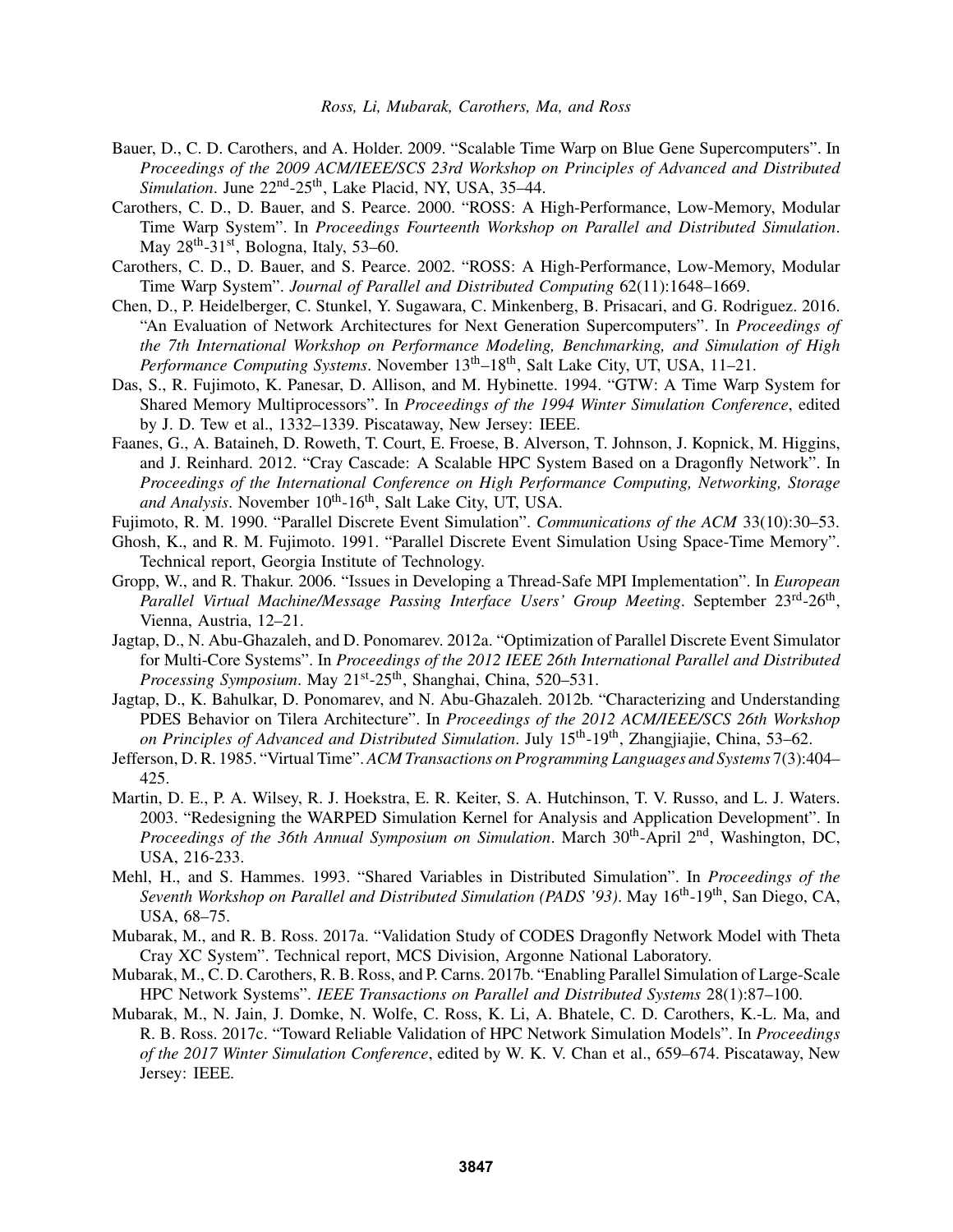- Bauer, D., C. D. Carothers, and A. Holder. 2009. "Scalable Time Warp on Blue Gene Supercomputers". In *Proceedings of the 2009 ACM/IEEE/SCS 23rd Workshop on Principles of Advanced and Distributed Simulation*. June 22<sup>nd</sup>-25<sup>th</sup>, Lake Placid, NY, USA, 35–44.
- Carothers, C. D., D. Bauer, and S. Pearce. 2000. "ROSS: A High-Performance, Low-Memory, Modular Time Warp System". In *Proceedings Fourteenth Workshop on Parallel and Distributed Simulation*. May  $28^{\text{th}}$ -31<sup>st</sup>, Bologna, Italy, 53–60.
- Carothers, C. D., D. Bauer, and S. Pearce. 2002. "ROSS: A High-Performance, Low-Memory, Modular Time Warp System". *Journal of Parallel and Distributed Computing* 62(11):1648–1669.
- Chen, D., P. Heidelberger, C. Stunkel, Y. Sugawara, C. Minkenberg, B. Prisacari, and G. Rodriguez. 2016. "An Evaluation of Network Architectures for Next Generation Supercomputers". In *Proceedings of the 7th International Workshop on Performance Modeling, Benchmarking, and Simulation of High Performance Computing Systems.* November  $13<sup>th</sup>–18<sup>th</sup>$ , Salt Lake City, UT, USA, 11–21.
- Das, S., R. Fujimoto, K. Panesar, D. Allison, and M. Hybinette. 1994. "GTW: A Time Warp System for Shared Memory Multiprocessors". In *Proceedings of the 1994 Winter Simulation Conference*, edited by J. D. Tew et al., 1332–1339. Piscataway, New Jersey: IEEE.
- Faanes, G., A. Bataineh, D. Roweth, T. Court, E. Froese, B. Alverson, T. Johnson, J. Kopnick, M. Higgins, and J. Reinhard. 2012. "Cray Cascade: A Scalable HPC System Based on a Dragonfly Network". In *Proceedings of the International Conference on High Performance Computing, Networking, Storage* and Analysis. November 10<sup>th</sup>-16<sup>th</sup>, Salt Lake City, UT, USA.
- Fujimoto, R. M. 1990. "Parallel Discrete Event Simulation". *Communications of the ACM* 33(10):30–53.
- Ghosh, K., and R. M. Fujimoto. 1991. "Parallel Discrete Event Simulation Using Space-Time Memory". Technical report, Georgia Institute of Technology.
- Gropp, W., and R. Thakur. 2006. "Issues in Developing a Thread-Safe MPI Implementation". In *European* Parallel Virtual Machine/Message Passing Interface Users' Group Meeting. September 23rd-26<sup>th</sup>, Vienna, Austria, 12–21.
- Jagtap, D., N. Abu-Ghazaleh, and D. Ponomarev. 2012a. "Optimization of Parallel Discrete Event Simulator for Multi-Core Systems". In *Proceedings of the 2012 IEEE 26th International Parallel and Distributed* Processing Symposium. May 21<sup>st</sup>-25<sup>th</sup>, Shanghai, China, 520–531.
- Jagtap, D., K. Bahulkar, D. Ponomarev, and N. Abu-Ghazaleh. 2012b. "Characterizing and Understanding PDES Behavior on Tilera Architecture". In *Proceedings of the 2012 ACM/IEEE/SCS 26th Workshop on Principles of Advanced and Distributed Simulation*. July 15th-19th, Zhangjiajie, China, 53–62.
- Jefferson, D. R. 1985. "Virtual Time". *ACM Transactions on Programming Languages and Systems* 7(3):404– 425.
- Martin, D. E., P. A. Wilsey, R. J. Hoekstra, E. R. Keiter, S. A. Hutchinson, T. V. Russo, and L. J. Waters. 2003. "Redesigning the WARPED Simulation Kernel for Analysis and Application Development". In *Proceedings of the 36th Annual Symposium on Simulation.* March 30<sup>th</sup>-April 2<sup>nd</sup>, Washington, DC, USA, 216-233.
- Mehl, H., and S. Hammes. 1993. "Shared Variables in Distributed Simulation". In *Proceedings of the Seventh Workshop on Parallel and Distributed Simulation (PADS '93)*. May 16<sup>th</sup>-19<sup>th</sup>, San Diego, CA, USA, 68–75.
- Mubarak, M., and R. B. Ross. 2017a. "Validation Study of CODES Dragonfly Network Model with Theta Cray XC System". Technical report, MCS Division, Argonne National Laboratory.
- Mubarak, M., C. D. Carothers, R. B. Ross, and P. Carns. 2017b. "Enabling Parallel Simulation of Large-Scale HPC Network Systems". *IEEE Transactions on Parallel and Distributed Systems* 28(1):87–100.
- Mubarak, M., N. Jain, J. Domke, N. Wolfe, C. Ross, K. Li, A. Bhatele, C. D. Carothers, K.-L. Ma, and R. B. Ross. 2017c. "Toward Reliable Validation of HPC Network Simulation Models". In *Proceedings of the 2017 Winter Simulation Conference*, edited by W. K. V. Chan et al., 659–674. Piscataway, New Jersey: IEEE.